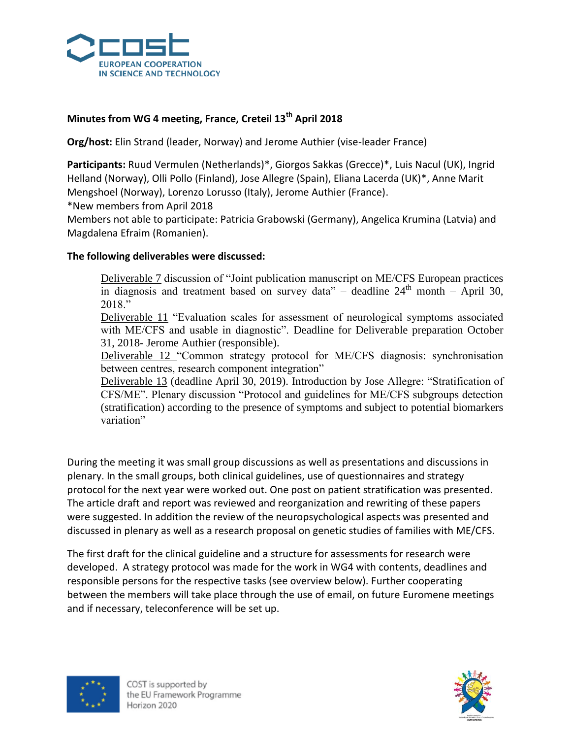

## **Minutes from WG 4 meeting, France, Creteil 13th April 2018**

**Org/host:** Elin Strand (leader, Norway) and Jerome Authier (vise-leader France)

**Participants:** Ruud Vermulen (Netherlands)\*, Giorgos Sakkas (Grecce)\*, Luis Nacul (UK), Ingrid Helland (Norway), Olli Pollo (Finland), Jose Allegre (Spain), Eliana Lacerda (UK)\*, Anne Marit Mengshoel (Norway), Lorenzo Lorusso (Italy), Jerome Authier (France).

\*New members from April 2018

Members not able to participate: Patricia Grabowski (Germany), Angelica Krumina (Latvia) and Magdalena Efraim (Romanien).

## **The following deliverables were discussed:**

Deliverable 7 discussion of "Joint publication manuscript on ME/CFS European practices in diagnosis and treatment based on survey data" – deadline  $24<sup>th</sup>$  month – April 30, 2018."

Deliverable 11 "Evaluation scales for assessment of neurological symptoms associated with ME/CFS and usable in diagnostic". Deadline for Deliverable preparation October 31, 2018- Jerome Authier (responsible).

Deliverable 12 "Common strategy protocol for ME/CFS diagnosis: synchronisation between centres, research component integration"

Deliverable 13 (deadline April 30, 2019). Introduction by Jose Allegre: "Stratification of CFS/ME". Plenary discussion "Protocol and guidelines for ME/CFS subgroups detection (stratification) according to the presence of symptoms and subject to potential biomarkers variation"

During the meeting it was small group discussions as well as presentations and discussions in plenary. In the small groups, both clinical guidelines, use of questionnaires and strategy protocol for the next year were worked out. One post on patient stratification was presented. The article draft and report was reviewed and reorganization and rewriting of these papers were suggested. In addition the review of the neuropsychological aspects was presented and discussed in plenary as well as a research proposal on genetic studies of families with ME/CFS.

The first draft for the clinical guideline and a structure for assessments for research were developed. A strategy protocol was made for the work in WG4 with contents, deadlines and responsible persons for the respective tasks (see overview below). Further cooperating between the members will take place through the use of email, on future Euromene meetings and if necessary, teleconference will be set up.



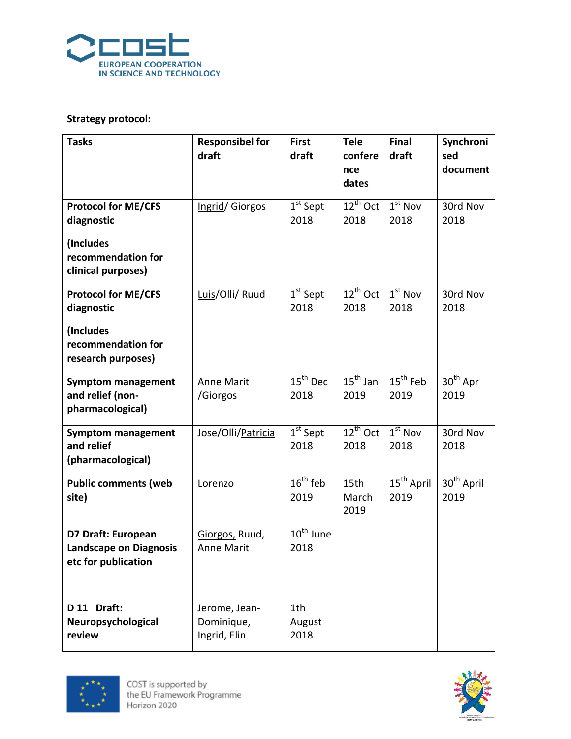

## **Strategy protocol:**

| <b>Tasks</b>                                                                                      | <b>Responsibel for</b><br>draft             | <b>First</b><br>draft                   | <b>Tele</b><br>confere<br>nce<br>dates | Final<br>draft                          | Synchroni<br>sed<br>document   |
|---------------------------------------------------------------------------------------------------|---------------------------------------------|-----------------------------------------|----------------------------------------|-----------------------------------------|--------------------------------|
| <b>Protocol for ME/CFS</b><br>diagnostic<br>(Includes<br>recommendation for<br>clinical purposes) | Ingrid/Giorgos                              | $1st$ Sept<br>2018                      | $12^{th}$ Oct<br>2018                  | $1st$ Nov<br>2018                       | 30rd Nov<br>2018               |
| <b>Protocol for ME/CFS</b><br>diagnostic<br>(Includes<br>recommendation for<br>research purposes) | Luis/Olli/ Ruud                             | $1st$ Sept<br>2018                      | $12^{th}$ Oct<br>2018                  | $1st$ Nov<br>2018                       | 30rd Nov<br>2018               |
| <b>Symptom management</b><br>and relief (non-<br>pharmacological)                                 | <b>Anne Marit</b><br>/Giorgos               | $\overline{15}^{\text{th}}$ Dec<br>2018 | $15^{\text{th}}$ Jan<br>2019           | $\overline{15}^{\text{th}}$ Feb<br>2019 | $30th$ Apr<br>2019             |
| <b>Symptom management</b><br>and relief<br>(pharmacological)                                      | Jose/Olli/Patricia                          | $1st$ Sept<br>2018                      | $12^{th}$ Oct<br>2018                  | $1st$ Nov<br>2018                       | 30rd Nov<br>2018               |
| <b>Public comments (web</b><br>site)                                                              | Lorenzo                                     | $16th$ feb<br>2019                      | 15th<br>March<br>2019                  | $15^{th}$ April<br>2019                 | 30 <sup>th</sup> April<br>2019 |
| D7 Draft: European<br><b>Landscape on Diagnosis</b><br>etc for publication                        | Giorgos, Ruud,<br><b>Anne Marit</b>         | $\overline{10^{th}}$ June<br>2018       |                                        |                                         |                                |
| D 11 Draft:<br>Neuropsychological<br>review                                                       | Jerome, Jean-<br>Dominique,<br>Ingrid, Elin | 1th<br>August<br>2018                   |                                        |                                         |                                |



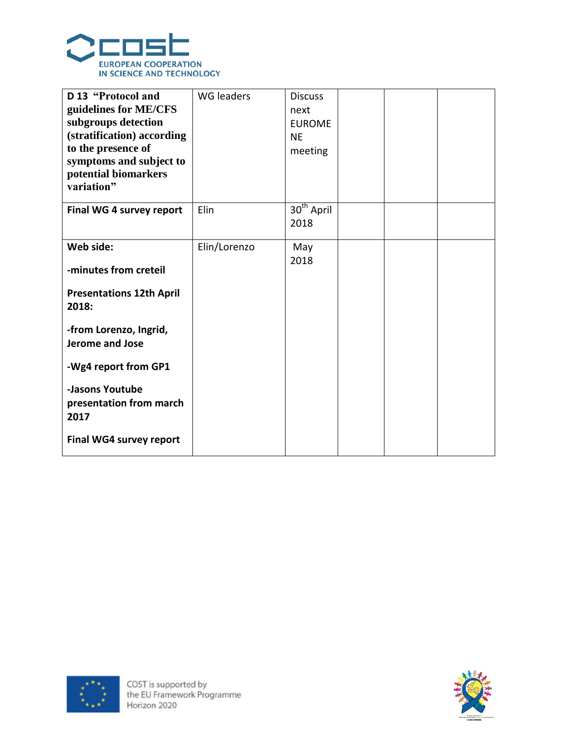

| D 13 "Protocol and<br>guidelines for ME/CFS<br>subgroups detection<br>(stratification) according<br>to the presence of<br>symptoms and subject to<br>potential biomarkers<br>variation" | <b>WG</b> leaders | <b>Discuss</b><br>next<br><b>EUROME</b><br><b>NE</b><br>meeting |  |  |
|-----------------------------------------------------------------------------------------------------------------------------------------------------------------------------------------|-------------------|-----------------------------------------------------------------|--|--|
| Final WG 4 survey report                                                                                                                                                                | Elin              | $30th$ April<br>2018                                            |  |  |
| Web side:<br>-minutes from creteil<br><b>Presentations 12th April</b><br>2018:<br>-from Lorenzo, Ingrid,<br>Jerome and Jose<br>-Wg4 report from GP1                                     | Elin/Lorenzo      | May<br>2018                                                     |  |  |
| -Jasons Youtube<br>presentation from march<br>2017<br><b>Final WG4 survey report</b>                                                                                                    |                   |                                                                 |  |  |